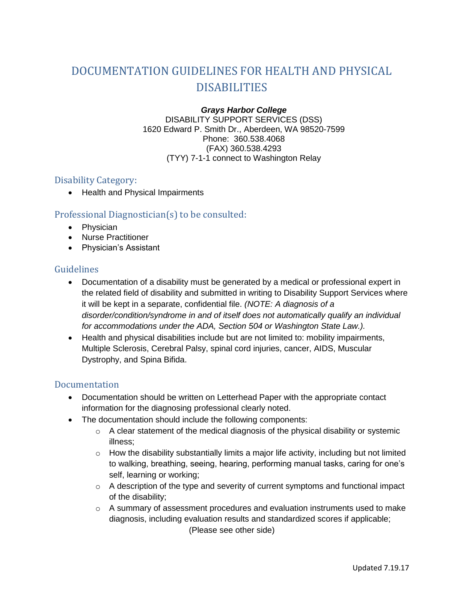# DOCUMENTATION GUIDELINES FOR HEALTH AND PHYSICAL DISABILITIES

## *Grays Harbor College* DISABILITY SUPPORT SERVICES (DSS)

1620 Edward P. Smith Dr., Aberdeen, WA 98520-7599 Phone: 360.538.4068 (FAX) 360.538.4293 (TYY) 7-1-1 connect to Washington Relay

## Disability Category:

• Health and Physical Impairments

## Professional Diagnostician(s) to be consulted:

- Physician
- Nurse Practitioner
- Physician's Assistant

## Guidelines

- Documentation of a disability must be generated by a medical or professional expert in the related field of disability and submitted in writing to Disability Support Services where it will be kept in a separate, confidential file. *(NOTE: A diagnosis of a disorder/condition/syndrome in and of itself does not automatically qualify an individual for accommodations under the ADA, Section 504 or Washington State Law.).*
- Health and physical disabilities include but are not limited to: mobility impairments, Multiple Sclerosis, Cerebral Palsy, spinal cord injuries, cancer, AIDS, Muscular Dystrophy, and Spina Bifida.

## Documentation

- Documentation should be written on Letterhead Paper with the appropriate contact information for the diagnosing professional clearly noted.
- The documentation should include the following components:
	- $\circ$  A clear statement of the medical diagnosis of the physical disability or systemic illness;
	- $\circ$  How the disability substantially limits a major life activity, including but not limited to walking, breathing, seeing, hearing, performing manual tasks, caring for one's self, learning or working;
	- $\circ$  A description of the type and severity of current symptoms and functional impact of the disability;
	- o A summary of assessment procedures and evaluation instruments used to make diagnosis, including evaluation results and standardized scores if applicable; (Please see other side)